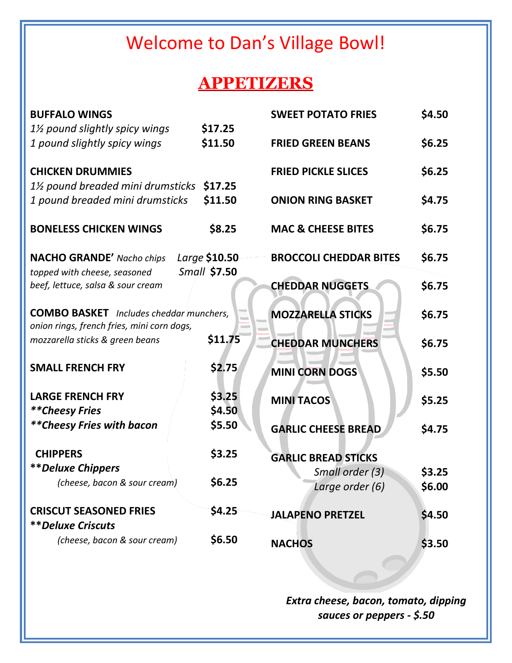# Welcome to Dan's Village Bowl!

### **APPETIZERS**

| <b>BUFFALO WINGS</b>                                                                         |                     | <b>SWEET POTATO FRIES</b>     | \$4.50 |
|----------------------------------------------------------------------------------------------|---------------------|-------------------------------|--------|
| 11/2 pound slightly spicy wings                                                              | \$17.25             |                               |        |
| 1 pound slightly spicy wings                                                                 | \$11.50             | <b>FRIED GREEN BEANS</b>      | \$6.25 |
| <b>CHICKEN DRUMMIES</b>                                                                      |                     | <b>FRIED PICKLE SLICES</b>    | \$6.25 |
| $1\%$ pound breaded mini drumsticks                                                          | \$17.25             |                               |        |
| 1 pound breaded mini drumsticks                                                              | \$11.50             | <b>ONION RING BASKET</b>      | \$4.75 |
| <b>BONELESS CHICKEN WINGS</b>                                                                | \$8.25              | <b>MAC &amp; CHEESE BITES</b> | \$6.75 |
| <b>NACHO GRANDE' Nacho chips</b><br>topped with cheese, seasoned                             | Large \$10.50       | <b>BROCCOLI CHEDDAR BITES</b> | \$6.75 |
| beef, lettuce, salsa & sour cream                                                            | <b>Small \$7.50</b> | <b>CHEDDAR NUGGETS</b>        | \$6.75 |
| <b>COMBO BASKET</b> Includes cheddar munchers,<br>onion rings, french fries, mini corn dogs, |                     | <b>MOZZARELLA STICKS</b>      | \$6.75 |
| mozzarella sticks & green beans                                                              | \$11.75             | <b>CHEDDAR MUNCHERS</b>       | \$6.75 |
| <b>SMALL FRENCH FRY</b>                                                                      | \$2.75              | <b>MINI CORN DOGS</b>         | \$5.50 |
| <b>LARGE FRENCH FRY</b>                                                                      | \$3.25              | <b>MINI TACOS</b>             | \$5.25 |
| **Cheesy Fries                                                                               | \$4.50              |                               |        |
| ** Cheesy Fries with bacon                                                                   | \$5.50              | <b>GARLIC CHEESE BREAD</b>    | \$4.75 |
| <b>CHIPPERS</b>                                                                              | \$3.25              | <b>GARLIC BREAD STICKS</b>    |        |
| <b>**Deluxe Chippers</b>                                                                     |                     | Small order (3)               | \$3.25 |
| (cheese, bacon & sour cream)                                                                 | \$6.25              | Large order (6)               | \$6.00 |
| <b>CRISCUT SEASONED FRIES</b>                                                                | \$4.25              | <b>JALAPENO PRETZEL</b>       | \$4.50 |
| <i><b>**Deluxe Criscuts</b></i>                                                              |                     |                               |        |
| (cheese, bacon & sour cream)                                                                 | \$6.50              | <b>NACHOS</b>                 | \$3.50 |

*Extra cheese, bacon, tomato, dipping sauces or peppers - \$.50*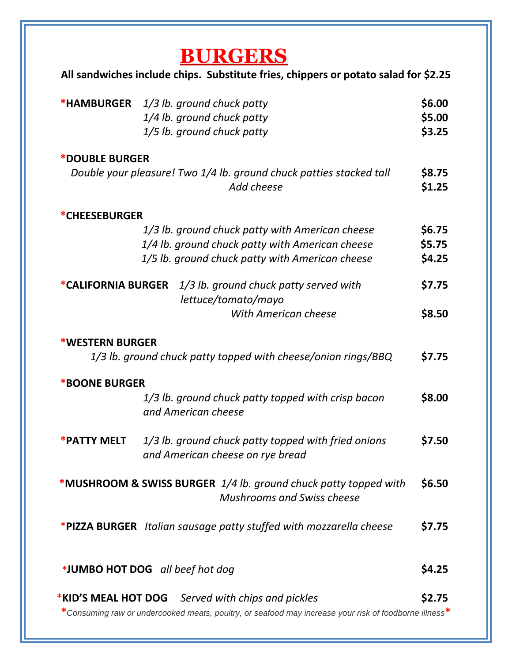| <b>*HAMBURGER</b>                              | 1/3 lb. ground chuck patty<br>1/4 lb. ground chuck patty<br>1/5 lb. ground chuck patty                                                                |
|------------------------------------------------|-------------------------------------------------------------------------------------------------------------------------------------------------------|
| *DOUBLE BURGER                                 |                                                                                                                                                       |
|                                                | Double your pleasure! Two 1/4 lb. ground chuck patties stacked tall<br>Add cheese                                                                     |
| <b>*CHEESEBURGER</b>                           |                                                                                                                                                       |
|                                                | 1/3 lb. ground chuck patty with American cheese<br>1/4 lb. ground chuck patty with American cheese<br>1/5 lb. ground chuck patty with American cheese |
| *CALIFORNIA BURGER                             | 1/3 lb. ground chuck patty served with<br>lettuce/tomato/mayo                                                                                         |
|                                                | With American cheese                                                                                                                                  |
| <b>*WESTERN BURGER</b><br><b>*BOONE BURGER</b> | 1/3 lb. ground chuck patty topped with cheese/onion rings/BBQ                                                                                         |
|                                                | 1/3 lb. ground chuck patty topped with crisp bacon<br>and American cheese                                                                             |
| *PATTY MELT                                    | 1/3 lb. ground chuck patty topped with fried onions<br>and American cheese on rye bread                                                               |
|                                                | *MUSHROOM & SWISS BURGER 1/4 lb. ground chuck patty topped with<br><b>Mushrooms and Swiss cheese</b>                                                  |
|                                                |                                                                                                                                                       |
|                                                | *PIZZA BURGER Italian sausage patty stuffed with mozzarella cheese                                                                                    |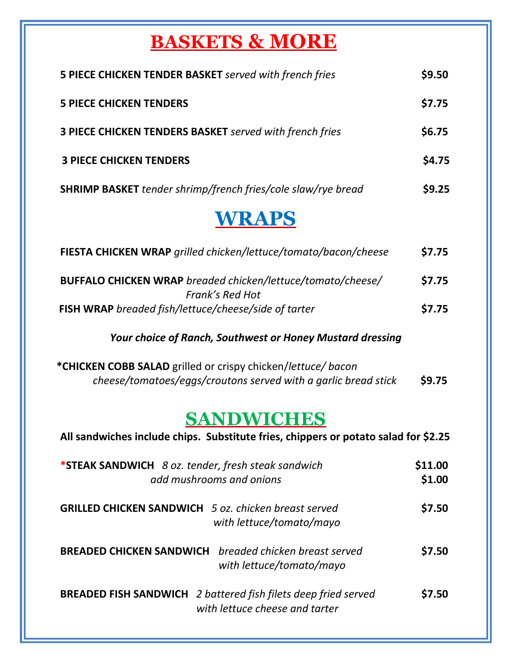# **BASKETS & MORE**

| 5 PIECE CHICKEN TENDER BASKET served with french fries              | \$9.50 |
|---------------------------------------------------------------------|--------|
| <b>5 PIECE CHICKEN TENDERS</b>                                      | \$7.75 |
| <b>3 PIECE CHICKEN TENDERS BASKET</b> served with french fries      | \$6.75 |
| <b>3 PIECE CHICKEN TENDERS</b>                                      | \$4.75 |
| <b>SHRIMP BASKET</b> tender shrimp/french fries/cole slaw/rye bread | \$9.25 |
|                                                                     |        |

## **WRAPS**

| FIESTA CHICKEN WRAP grilled chicken/lettuce/tomato/bacon/cheese                | \$7.75 |
|--------------------------------------------------------------------------------|--------|
| BUFFALO CHICKEN WRAP breaded chicken/lettuce/tomato/cheese/<br>Frank's Red Hot | \$7.75 |
| FISH WRAP breaded fish/lettuce/cheese/side of tarter                           | \$7.75 |

#### *Your choice of Ranch, Southwest or Honey Mustard dressing*

 **\*CHICKEN COBB SALAD** grilled or crispy chicken/*lettuce/ bacon cheese/tomatoes/eggs/croutons served with a garlic bread stick* **\$9.75**

## **SANDWICHES**

| *STEAK SANDWICH 8 oz. tender, fresh steak sandwich<br>add mushrooms and onions                          | \$11.00<br>\$1.00 |
|---------------------------------------------------------------------------------------------------------|-------------------|
| <b>GRILLED CHICKEN SANDWICH</b> 5 oz. chicken breast served<br>with lettuce/tomato/mayo                 | \$7.50            |
| breaded chicken breast served<br><b>BREADED CHICKEN SANDWICH</b><br>with lettuce/tomato/mayo            | \$7.50            |
| <b>BREADED FISH SANDWICH</b> 2 battered fish filets deep fried served<br>with lettuce cheese and tarter | \$7.50            |